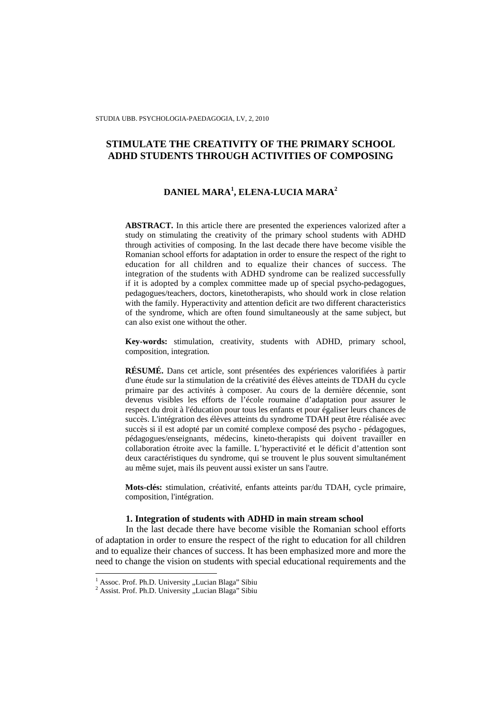# **STIMULATE THE CREATIVITY OF THE PRIMARY SCHOOL ADHD STUDENTS THROUGH ACTIVITIES OF COMPOSING**

# **DANIEL MARA<sup>1</sup> , ELENA-LUCIA MARA<sup>2</sup>**

**ABSTRACT.** In this article there are presented the experiences valorized after a study on stimulating the creativity of the primary school students with ADHD through activities of composing. In the last decade there have become visible the Romanian school efforts for adaptation in order to ensure the respect of the right to education for all children and to equalize their chances of success. The integration of the students with ADHD syndrome can be realized successfully if it is adopted by a complex committee made up of special psycho-pedagogues, pedagogues/teachers, doctors, kinetotherapists, who should work in close relation with the family. Hyperactivity and attention deficit are two different characteristics of the syndrome, which are often found simultaneously at the same subject, but can also exist one without the other.

**Key-words:** stimulation, creativity, students with ADHD, primary school, composition, integration*.* 

**RÉSUMÉ.** Dans cet article, sont présentées des expériences valorifiées à partir d'une étude sur la stimulation de la créativité des élèves atteints de TDAH du cycle primaire par des activités à composer. Au cours de la dernière décennie, sont devenus visibles les efforts de l'école roumaine d'adaptation pour assurer le respect du droit à l'éducation pour tous les enfants et pour égaliser leurs chances de succès. L'intégration des élèves atteints du syndrome TDAH peut être réalisée avec succès si il est adopté par un comité complexe composé des psycho - pédagogues, pédagogues/enseignants, médecins, kineto-therapists qui doivent travailler en collaboration étroite avec la famille. L'hyperactivité et le déficit d'attention sont deux caractéristiques du syndrome, qui se trouvent le plus souvent simultanément au même sujet, mais ils peuvent aussi exister un sans l'autre.

**Mots-clés:** stimulation, créativité, enfants atteints par/du TDAH, cycle primaire, composition, l'intégration.

## **1. Integration of students with ADHD in main stream school**

In the last decade there have become visible the Romanian school efforts of adaptation in order to ensure the respect of the right to education for all children and to equalize their chances of success. It has been emphasized more and more the need to change the vision on students with special educational requirements and the

<sup>&</sup>lt;sup>1</sup> Assoc. Prof. Ph.D. University "Lucian Blaga" Sibiu

<sup>&</sup>lt;sup>2</sup> Assist. Prof. Ph.D. University "Lucian Blaga" Sibiu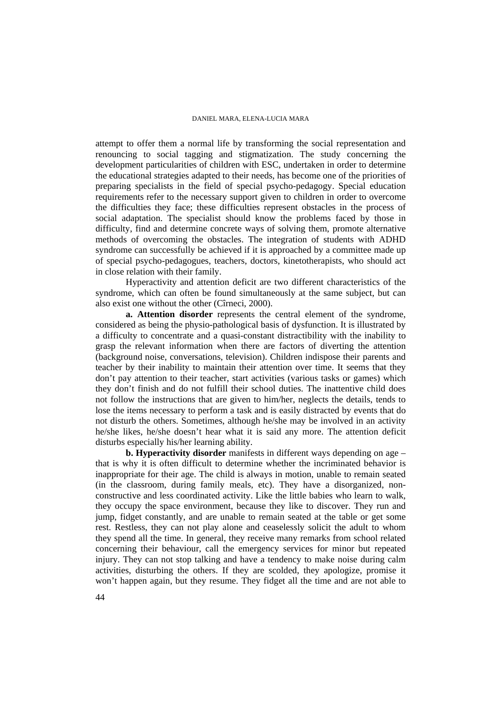attempt to offer them a normal life by transforming the social representation and renouncing to social tagging and stigmatization. The study concerning the development particularities of children with ESC, undertaken in order to determine the educational strategies adapted to their needs, has become one of the priorities of preparing specialists in the field of special psycho-pedagogy. Special education requirements refer to the necessary support given to children in order to overcome the difficulties they face; these difficulties represent obstacles in the process of social adaptation. The specialist should know the problems faced by those in difficulty, find and determine concrete ways of solving them, promote alternative methods of overcoming the obstacles. The integration of students with ADHD syndrome can successfully be achieved if it is approached by a committee made up of special psycho-pedagogues, teachers, doctors, kinetotherapists, who should act in close relation with their family.

Hyperactivity and attention deficit are two different characteristics of the syndrome, which can often be found simultaneously at the same subject, but can also exist one without the other (Cîrneci, 2000).

**a. Attention disorder** represents the central element of the syndrome, considered as being the physio-pathological basis of dysfunction. It is illustrated by a difficulty to concentrate and a quasi-constant distractibility with the inability to grasp the relevant information when there are factors of diverting the attention (background noise, conversations, television). Children indispose their parents and teacher by their inability to maintain their attention over time. It seems that they don't pay attention to their teacher, start activities (various tasks or games) which they don't finish and do not fulfill their school duties. The inattentive child does not follow the instructions that are given to him/her, neglects the details, tends to lose the items necessary to perform a task and is easily distracted by events that do not disturb the others. Sometimes, although he/she may be involved in an activity he/she likes, he/she doesn't hear what it is said any more. The attention deficit disturbs especially his/her learning ability.

**b. Hyperactivity disorder** manifests in different ways depending on age – that is why it is often difficult to determine whether the incriminated behavior is inappropriate for their age. The child is always in motion, unable to remain seated (in the classroom, during family meals, etc). They have a disorganized, nonconstructive and less coordinated activity. Like the little babies who learn to walk, they occupy the space environment, because they like to discover. They run and jump, fidget constantly, and are unable to remain seated at the table or get some rest. Restless, they can not play alone and ceaselessly solicit the adult to whom they spend all the time. In general, they receive many remarks from school related concerning their behaviour, call the emergency services for minor but repeated injury. They can not stop talking and have a tendency to make noise during calm activities, disturbing the others. If they are scolded, they apologize, promise it won't happen again, but they resume. They fidget all the time and are not able to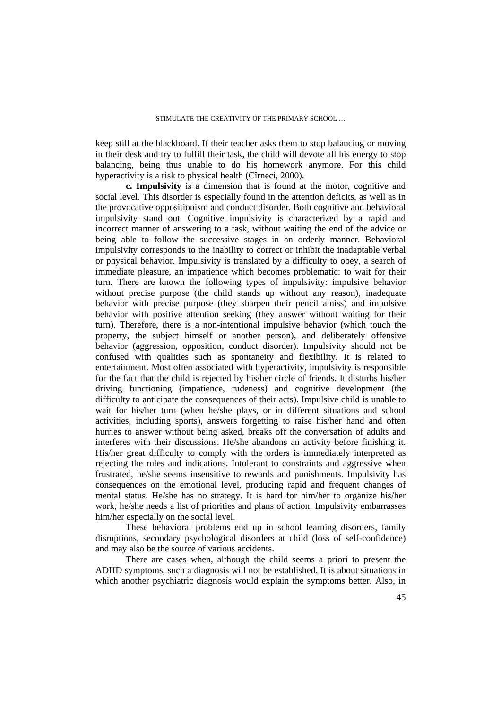keep still at the blackboard. If their teacher asks them to stop balancing or moving in their desk and try to fulfill their task, the child will devote all his energy to stop balancing, being thus unable to do his homework anymore. For this child hyperactivity is a risk to physical health (Cîrneci, 2000).

**c. Impulsivity** is a dimension that is found at the motor, cognitive and social level. This disorder is especially found in the attention deficits, as well as in the provocative oppositionism and conduct disorder. Both cognitive and behavioral impulsivity stand out. Cognitive impulsivity is characterized by a rapid and incorrect manner of answering to a task, without waiting the end of the advice or being able to follow the successive stages in an orderly manner. Behavioral impulsivity corresponds to the inability to correct or inhibit the inadaptable verbal or physical behavior. Impulsivity is translated by a difficulty to obey, a search of immediate pleasure, an impatience which becomes problematic: to wait for their turn. There are known the following types of impulsivity: impulsive behavior without precise purpose (the child stands up without any reason), inadequate behavior with precise purpose (they sharpen their pencil amiss) and impulsive behavior with positive attention seeking (they answer without waiting for their turn). Therefore, there is a non-intentional impulsive behavior (which touch the property, the subject himself or another person), and deliberately offensive behavior (aggression, opposition, conduct disorder). Impulsivity should not be confused with qualities such as spontaneity and flexibility. It is related to entertainment. Most often associated with hyperactivity, impulsivity is responsible for the fact that the child is rejected by his/her circle of friends. It disturbs his/her driving functioning (impatience, rudeness) and cognitive development (the difficulty to anticipate the consequences of their acts). Impulsive child is unable to wait for his/her turn (when he/she plays, or in different situations and school activities, including sports), answers forgetting to raise his/her hand and often hurries to answer without being asked, breaks off the conversation of adults and interferes with their discussions. He/she abandons an activity before finishing it. His/her great difficulty to comply with the orders is immediately interpreted as rejecting the rules and indications. Intolerant to constraints and aggressive when frustrated, he/she seems insensitive to rewards and punishments. Impulsivity has consequences on the emotional level, producing rapid and frequent changes of mental status. He/she has no strategy. It is hard for him/her to organize his/her work, he/she needs a list of priorities and plans of action. Impulsivity embarrasses him/her especially on the social level.

These behavioral problems end up in school learning disorders, family disruptions, secondary psychological disorders at child (loss of self-confidence) and may also be the source of various accidents.

There are cases when, although the child seems a priori to present the ADHD symptoms, such a diagnosis will not be established. It is about situations in which another psychiatric diagnosis would explain the symptoms better. Also, in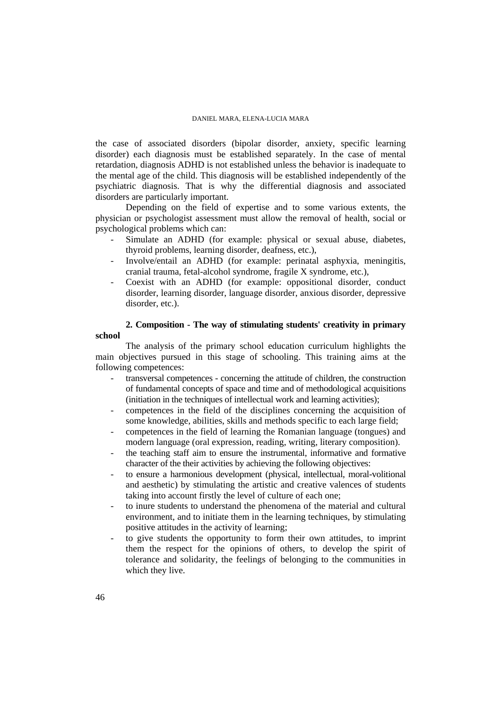the case of associated disorders (bipolar disorder, anxiety, specific learning disorder) each diagnosis must be established separately. In the case of mental retardation, diagnosis ADHD is not established unless the behavior is inadequate to the mental age of the child. This diagnosis will be established independently of the psychiatric diagnosis. That is why the differential diagnosis and associated disorders are particularly important.

Depending on the field of expertise and to some various extents, the physician or psychologist assessment must allow the removal of health, social or psychological problems which can:

- Simulate an ADHD (for example: physical or sexual abuse, diabetes, thyroid problems, learning disorder, deafness, etc.),
- Involve/entail an ADHD (for example: perinatal asphyxia, meningitis, cranial trauma, fetal-alcohol syndrome, fragile X syndrome, etc.),
- Coexist with an ADHD (for example: oppositional disorder, conduct disorder, learning disorder, language disorder, anxious disorder, depressive disorder, etc.).

# **2. Composition - The way of stimulating students' creativity in primary school**

The analysis of the primary school education curriculum highlights the main objectives pursued in this stage of schooling. This training aims at the following competences:

- transversal competences concerning the attitude of children, the construction of fundamental concepts of space and time and of methodological acquisitions (initiation in the techniques of intellectual work and learning activities);
- competences in the field of the disciplines concerning the acquisition of some knowledge, abilities, skills and methods specific to each large field;
- competences in the field of learning the Romanian language (tongues) and modern language (oral expression, reading, writing, literary composition).
- the teaching staff aim to ensure the instrumental, informative and formative character of the their activities by achieving the following objectives:
- to ensure a harmonious development (physical, intellectual, moral-volitional and aesthetic) by stimulating the artistic and creative valences of students taking into account firstly the level of culture of each one;
- to inure students to understand the phenomena of the material and cultural environment, and to initiate them in the learning techniques, by stimulating positive attitudes in the activity of learning;
- to give students the opportunity to form their own attitudes, to imprint them the respect for the opinions of others, to develop the spirit of tolerance and solidarity, the feelings of belonging to the communities in which they live.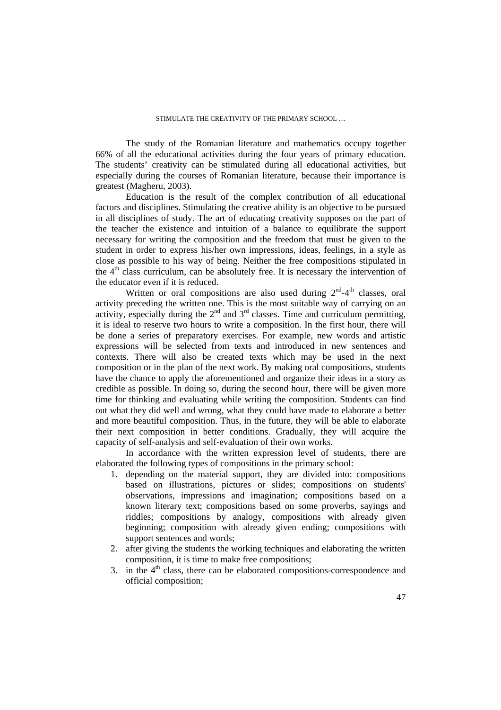The study of the Romanian literature and mathematics occupy together 66% of all the educational activities during the four years of primary education. The students' creativity can be stimulated during all educational activities, but especially during the courses of Romanian literature, because their importance is greatest (Magheru, 2003).

Education is the result of the complex contribution of all educational factors and disciplines. Stimulating the creative ability is an objective to be pursued in all disciplines of study. The art of educating creativity supposes on the part of the teacher the existence and intuition of a balance to equilibrate the support necessary for writing the composition and the freedom that must be given to the student in order to express his/her own impressions, ideas, feelings, in a style as close as possible to his way of being. Neither the free compositions stipulated in the  $4<sup>th</sup>$  class curriculum, can be absolutely free. It is necessary the intervention of the educator even if it is reduced.

Written or oral compositions are also used during  $2<sup>nd</sup>-4<sup>th</sup>$  classes, oral activity preceding the written one. This is the most suitable way of carrying on an activity, especially during the  $2<sup>nd</sup>$  and  $3<sup>rd</sup>$  classes. Time and curriculum permitting, it is ideal to reserve two hours to write a composition. In the first hour, there will be done a series of preparatory exercises. For example, new words and artistic expressions will be selected from texts and introduced in new sentences and contexts. There will also be created texts which may be used in the next composition or in the plan of the next work. By making oral compositions, students have the chance to apply the aforementioned and organize their ideas in a story as credible as possible. In doing so, during the second hour, there will be given more time for thinking and evaluating while writing the composition. Students can find out what they did well and wrong, what they could have made to elaborate a better and more beautiful composition. Thus, in the future, they will be able to elaborate their next composition in better conditions. Gradually, they will acquire the capacity of self-analysis and self-evaluation of their own works.

In accordance with the written expression level of students, there are elaborated the following types of compositions in the primary school:

- 1. depending on the material support, they are divided into: compositions based on illustrations, pictures or slides; compositions on students' observations, impressions and imagination; compositions based on a known literary text; compositions based on some proverbs, sayings and riddles; compositions by analogy, compositions with already given beginning; composition with already given ending; compositions with support sentences and words;
- 2. after giving the students the working techniques and elaborating the written composition, it is time to make free compositions;
- 3. in the  $4<sup>th</sup>$  class, there can be elaborated compositions-correspondence and official composition;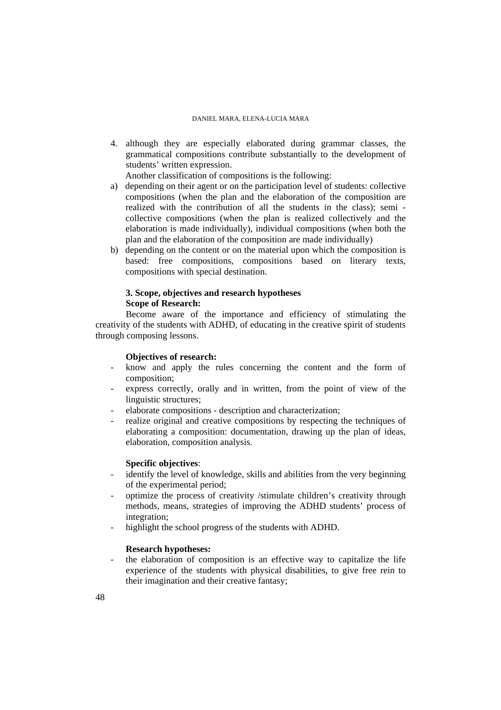4. although they are especially elaborated during grammar classes, the grammatical compositions contribute substantially to the development of students' written expression.

Another classification of compositions is the following:

- a) depending on their agent or on the participation level of students: collective compositions (when the plan and the elaboration of the composition are realized with the contribution of all the students in the class); semi collective compositions (when the plan is realized collectively and the elaboration is made individually), individual compositions (when both the plan and the elaboration of the composition are made individually)
- b) depending on the content or on the material upon which the composition is based: free compositions, compositions based on literary texts, compositions with special destination.

# **3. Scope, objectives and research hypotheses Scope of Research:**

Become aware of the importance and efficiency of stimulating the creativity of the students with ADHD, of educating in the creative spirit of students through composing lessons.

## **Objectives of research:**

- know and apply the rules concerning the content and the form of composition;
- express correctly, orally and in written, from the point of view of the linguistic structures;
- elaborate compositions description and characterization;
- realize original and creative compositions by respecting the techniques of elaborating a composition: documentation, drawing up the plan of ideas, elaboration, composition analysis.

# **Specific objectives**:

- identify the level of knowledge, skills and abilities from the very beginning of the experimental period;
- optimize the process of creativity /stimulate children's creativity through methods, means, strategies of improving the ADHD students' process of integration;
- highlight the school progress of the students with ADHD.

# **Research hypotheses:**

- the elaboration of composition is an effective way to capitalize the life experience of the students with physical disabilities, to give free rein to their imagination and their creative fantasy;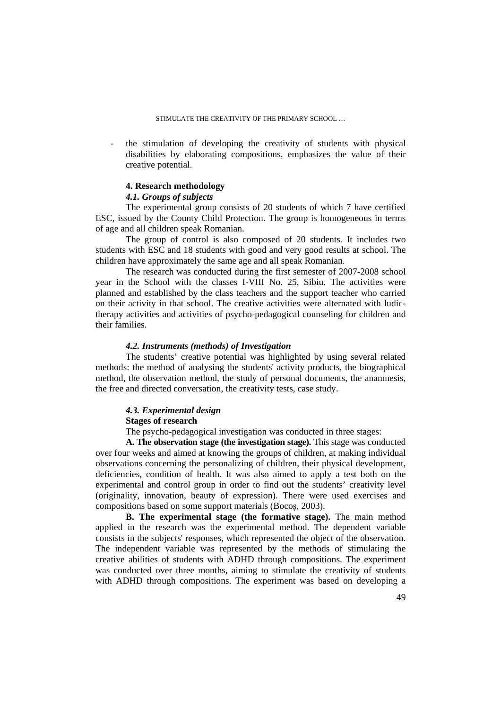the stimulation of developing the creativity of students with physical disabilities by elaborating compositions, emphasizes the value of their creative potential.

## **4. Research methodology**

# *4.1. Groups of subjects*

The experimental group consists of 20 students of which 7 have certified ESC, issued by the County Child Protection. The group is homogeneous in terms of age and all children speak Romanian.

The group of control is also composed of 20 students. It includes two students with ESC and 18 students with good and very good results at school. The children have approximately the same age and all speak Romanian.

The research was conducted during the first semester of 2007-2008 school year in the School with the classes I-VIII No. 25, Sibiu. The activities were planned and established by the class teachers and the support teacher who carried on their activity in that school. The creative activities were alternated with ludictherapy activities and activities of psycho-pedagogical counseling for children and their families.

# *4.2. Instruments (methods) of Investigation*

The students' creative potential was highlighted by using several related methods: the method of analysing the students' activity products, the biographical method, the observation method, the study of personal documents, the anamnesis, the free and directed conversation, the creativity tests, case study.

# *4.3. Experimental design*

# **Stages of research**

The psycho-pedagogical investigation was conducted in three stages:

**A. The observation stage (the investigation stage).** This stage was conducted over four weeks and aimed at knowing the groups of children, at making individual observations concerning the personalizing of children, their physical development, deficiencies, condition of health. It was also aimed to apply a test both on the experimental and control group in order to find out the students' creativity level (originality, innovation, beauty of expression). There were used exercises and compositions based on some support materials (Bocoş, 2003).

**B. The experimental stage (the formative stage).** The main method applied in the research was the experimental method. The dependent variable consists in the subjects' responses, which represented the object of the observation. The independent variable was represented by the methods of stimulating the creative abilities of students with ADHD through compositions. The experiment was conducted over three months, aiming to stimulate the creativity of students with ADHD through compositions. The experiment was based on developing a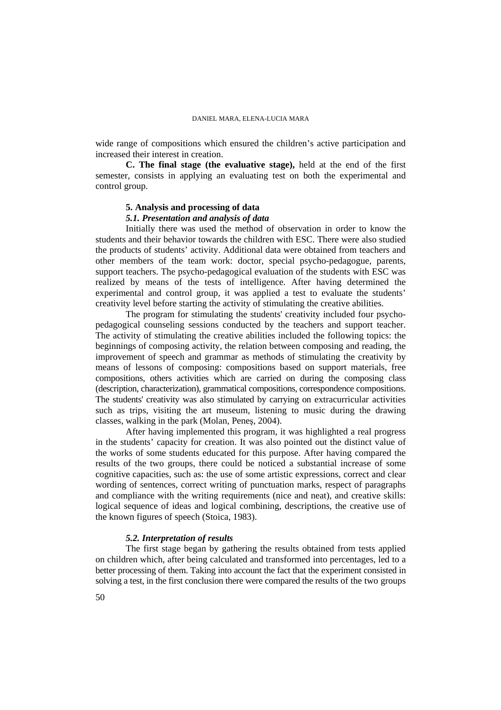wide range of compositions which ensured the children's active participation and increased their interest in creation.

**C. The final stage (the evaluative stage),** held at the end of the first semester, consists in applying an evaluating test on both the experimental and control group.

# **5. Analysis and processing of data**

# *5.1. Presentation and analysis of data*

Initially there was used the method of observation in order to know the students and their behavior towards the children with ESC. There were also studied the products of students' activity. Additional data were obtained from teachers and other members of the team work: doctor, special psycho-pedagogue, parents, support teachers. The psycho-pedagogical evaluation of the students with ESC was realized by means of the tests of intelligence. After having determined the experimental and control group, it was applied a test to evaluate the students' creativity level before starting the activity of stimulating the creative abilities.

The program for stimulating the students' creativity included four psychopedagogical counseling sessions conducted by the teachers and support teacher. The activity of stimulating the creative abilities included the following topics: the beginnings of composing activity, the relation between composing and reading, the improvement of speech and grammar as methods of stimulating the creativity by means of lessons of composing: compositions based on support materials, free compositions, others activities which are carried on during the composing class (description, characterization), grammatical compositions, correspondence compositions. The students' creativity was also stimulated by carrying on extracurricular activities such as trips, visiting the art museum, listening to music during the drawing classes, walking in the park (Molan, Peneş, 2004).

After having implemented this program, it was highlighted a real progress in the students' capacity for creation. It was also pointed out the distinct value of the works of some students educated for this purpose. After having compared the results of the two groups, there could be noticed a substantial increase of some cognitive capacities, such as: the use of some artistic expressions, correct and clear wording of sentences, correct writing of punctuation marks, respect of paragraphs and compliance with the writing requirements (nice and neat), and creative skills: logical sequence of ideas and logical combining, descriptions, the creative use of the known figures of speech (Stoica, 1983).

### *5.2. Interpretation of results*

The first stage began by gathering the results obtained from tests applied on children which, after being calculated and transformed into percentages, led to a better processing of them. Taking into account the fact that the experiment consisted in solving a test, in the first conclusion there were compared the results of the two groups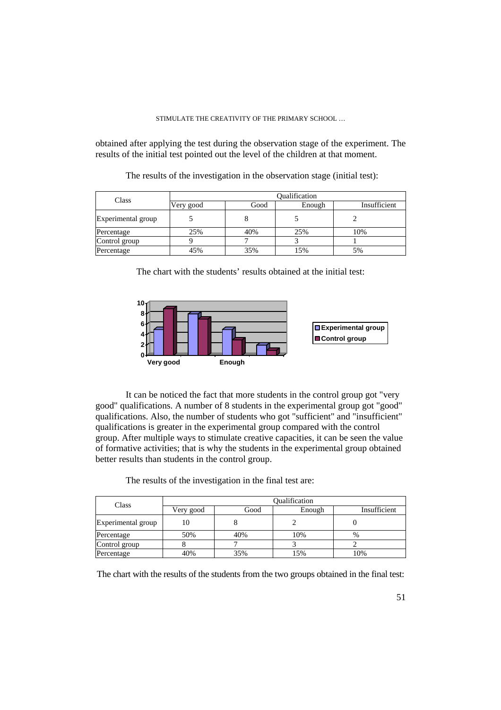obtained after applying the test during the observation stage of the experiment. The results of the initial test pointed out the level of the children at that moment.

The results of the investigation in the observation stage (initial test):

| Class              | Oualification |      |        |              |  |
|--------------------|---------------|------|--------|--------------|--|
|                    | Very good     | Good | Enough | Insufficient |  |
| Experimental group |               |      |        |              |  |
| Percentage         | 25%           | 40%  | 25%    | 10%          |  |
| Control group      |               |      |        |              |  |
| Percentage         | 45%           | 35%  | 5%     | 5%           |  |

The chart with the students' results obtained at the initial test:



It can be noticed the fact that more students in the control group got "very good" qualifications. A number of 8 students in the experimental group got "good" qualifications. Also, the number of students who got "sufficient" and "insufficient" qualifications is greater in the experimental group compared with the control group. After multiple ways to stimulate creative capacities, it can be seen the value of formative activities; that is why the students in the experimental group obtained better results than students in the control group.

| Class              | Oualification |      |        |              |  |
|--------------------|---------------|------|--------|--------------|--|
|                    | Very good     | Good | Enough | Insufficient |  |
| Experimental group | 10            |      |        |              |  |
| Percentage         | 50%           | 40%  | 10%    | %            |  |
| Control group      |               |      |        |              |  |
| Percentage         | 40%           | 35%  | 15%    | 10%          |  |

The chart with the results of the students from the two groups obtained in the final test: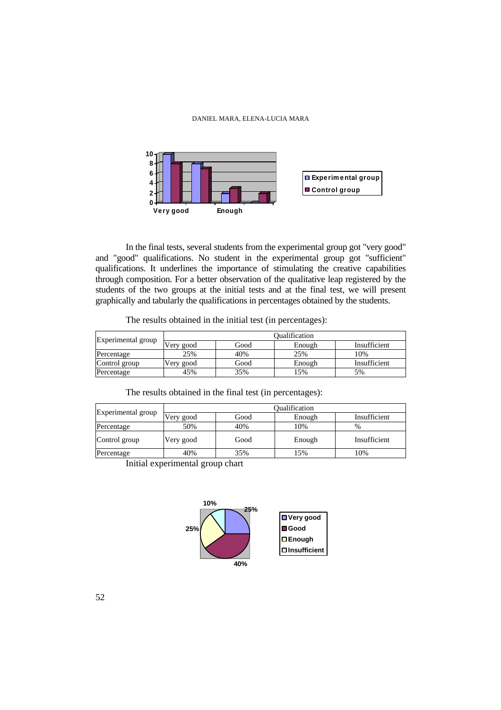

In the final tests, several students from the experimental group got "very good" and "good" qualifications. No student in the experimental group got "sufficient" qualifications. It underlines the importance of stimulating the creative capabilities through composition. For a better observation of the qualitative leap registered by the students of the two groups at the initial tests and at the final test, we will present graphically and tabularly the qualifications in percentages obtained by the students.

|  |  | The results obtained in the initial test (in percentages): |
|--|--|------------------------------------------------------------|
|  |  |                                                            |

| Experimental group | <b>Dualification</b> |      |        |              |
|--------------------|----------------------|------|--------|--------------|
|                    | Very good            | Good | Enough | Insufficient |
| Percentage         | 25%                  | 40%  | 25%    | 10%          |
| Control group      | Very good            | Good | Enough | Insufficient |
| Percentage         | 45%                  | 35%  | 15%    | 5%           |

The results obtained in the final test (in percentages):

| Experimental group | Oualification |      |        |              |
|--------------------|---------------|------|--------|--------------|
|                    | Very good     | Good | Enough | Insufficient |
| Percentage         | 50%           | 40%  | 10%    | $\%$         |
| Control group      | Very good     | Good | Enough | Insufficient |
| Percentage         | 40%           | 35%  | 15%    | 10%          |
| -                  |               |      |        |              |

Initial experimental group chart



52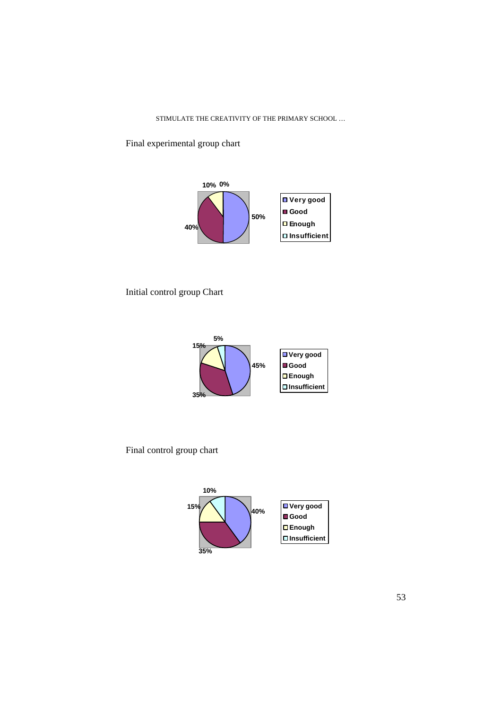Final experimental group chart



Initial control group Chart



Final control group chart

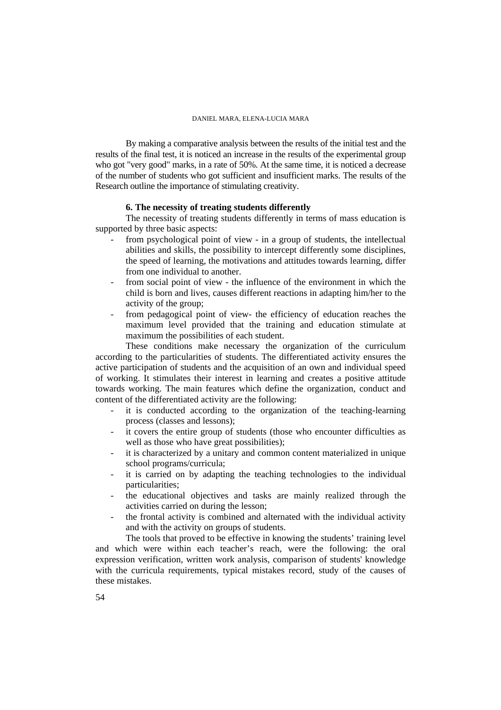By making a comparative analysis between the results of the initial test and the results of the final test, it is noticed an increase in the results of the experimental group who got "very good" marks, in a rate of 50%. At the same time, it is noticed a decrease of the number of students who got sufficient and insufficient marks. The results of the Research outline the importance of stimulating creativity.

## **6. The necessity of treating students differently**

The necessity of treating students differently in terms of mass education is supported by three basic aspects:

- from psychological point of view in a group of students, the intellectual abilities and skills, the possibility to intercept differently some disciplines, the speed of learning, the motivations and attitudes towards learning, differ from one individual to another.
- from social point of view the influence of the environment in which the child is born and lives, causes different reactions in adapting him/her to the activity of the group;
- from pedagogical point of view- the efficiency of education reaches the maximum level provided that the training and education stimulate at maximum the possibilities of each student.

These conditions make necessary the organization of the curriculum according to the particularities of students. The differentiated activity ensures the active participation of students and the acquisition of an own and individual speed of working. It stimulates their interest in learning and creates a positive attitude towards working. The main features which define the organization, conduct and content of the differentiated activity are the following:

- it is conducted according to the organization of the teaching-learning process (classes and lessons);
- it covers the entire group of students (those who encounter difficulties as well as those who have great possibilities);
- it is characterized by a unitary and common content materialized in unique school programs/curricula;
- it is carried on by adapting the teaching technologies to the individual particularities;
- the educational objectives and tasks are mainly realized through the activities carried on during the lesson;
- the frontal activity is combined and alternated with the individual activity and with the activity on groups of students.

The tools that proved to be effective in knowing the students' training level and which were within each teacher's reach, were the following: the oral expression verification, written work analysis, comparison of students' knowledge with the curricula requirements, typical mistakes record, study of the causes of these mistakes.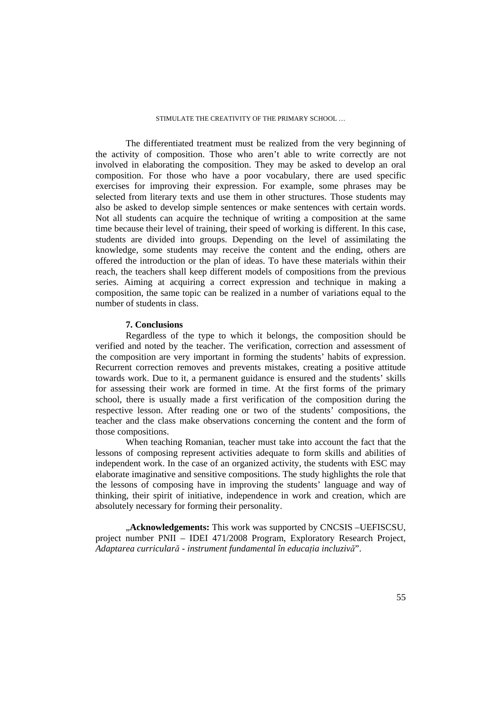The differentiated treatment must be realized from the very beginning of the activity of composition. Those who aren't able to write correctly are not involved in elaborating the composition. They may be asked to develop an oral composition. For those who have a poor vocabulary, there are used specific exercises for improving their expression. For example, some phrases may be selected from literary texts and use them in other structures. Those students may also be asked to develop simple sentences or make sentences with certain words. Not all students can acquire the technique of writing a composition at the same time because their level of training, their speed of working is different. In this case, students are divided into groups. Depending on the level of assimilating the knowledge, some students may receive the content and the ending, others are offered the introduction or the plan of ideas. To have these materials within their reach, the teachers shall keep different models of compositions from the previous series. Aiming at acquiring a correct expression and technique in making a composition, the same topic can be realized in a number of variations equal to the number of students in class.

# **7. Conclusions**

Regardless of the type to which it belongs, the composition should be verified and noted by the teacher. The verification, correction and assessment of the composition are very important in forming the students' habits of expression. Recurrent correction removes and prevents mistakes, creating a positive attitude towards work. Due to it, a permanent guidance is ensured and the students' skills for assessing their work are formed in time. At the first forms of the primary school, there is usually made a first verification of the composition during the respective lesson. After reading one or two of the students' compositions, the teacher and the class make observations concerning the content and the form of those compositions.

When teaching Romanian, teacher must take into account the fact that the lessons of composing represent activities adequate to form skills and abilities of independent work. In the case of an organized activity, the students with ESC may elaborate imaginative and sensitive compositions. The study highlights the role that the lessons of composing have in improving the students' language and way of thinking, their spirit of initiative, independence in work and creation, which are absolutely necessary for forming their personality.

"**Acknowledgements:** This work was supported by CNCSIS –UEFISCSU, project number PNII – IDEI 471/2008 Program, Exploratory Research Project, *Adaptarea curricular*ă *- instrument fundamental în educa*Ń*ia incluziv*ă".